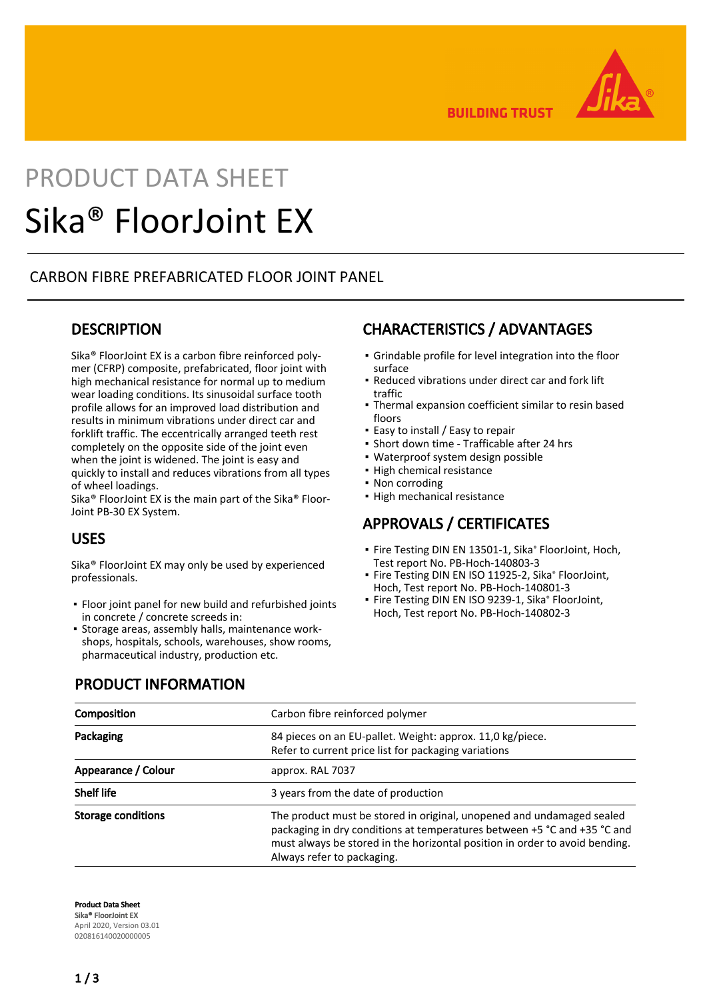

**BUILDING TRUST** 

# PRODUCT DATA SHEET Sika® FloorJoint EX

## CARBON FIBRE PREFABRICATED FLOOR JOINT PANEL

## **DESCRIPTION**

Sika® FloorJoint EX is a carbon fibre reinforced polymer (CFRP) composite, prefabricated, floor joint with high mechanical resistance for normal up to medium wear loading conditions. Its sinusoidal surface tooth profile allows for an improved load distribution and results in minimum vibrations under direct car and forklift traffic. The eccentrically arranged teeth rest completely on the opposite side of the joint even when the joint is widened. The joint is easy and quickly to install and reduces vibrations from all types of wheel loadings.

Sika® FloorJoint EX is the main part of the Sika® Floor-Joint PB-30 EX System.

## USES

Sika® FloorJoint EX may only be used by experienced professionals.

- **•** Floor joint panel for new build and refurbished joints in concrete / concrete screeds in:
- **Storage areas, assembly halls, maintenance work**shops, hospitals, schools, warehouses, show rooms, pharmaceutical industry, production etc.

# CHARACTERISTICS / ADVANTAGES

- Grindable profile for level integration into the floor surface
- Reduced vibrations under direct car and fork lift traffic
- Thermal expansion coefficient similar to resin based floors
- Easy to install / Easy to repair
- Short down time Trafficable after 24 hrs
- Waterproof system design possible
- **· High chemical resistance**
- Non corroding
- High mechanical resistance

## APPROVALS / CERTIFICATES

- **·** Fire Testing DIN EN 13501-1, Sika® FloorJoint, Hoch, Test report No. PB-Hoch-140803-3
- Fire Testing DIN EN ISO 11925-2, Sika® FloorJoint, Hoch, Test report No. PB-Hoch-140801-3
- Fire Testing DIN EN ISO 9239-1, Sika® FloorJoint, Hoch, Test report No. PB-Hoch-140802-3

## PRODUCT INFORMATION

| Composition         | Carbon fibre reinforced polymer                                                                                                                                                                                                                                |
|---------------------|----------------------------------------------------------------------------------------------------------------------------------------------------------------------------------------------------------------------------------------------------------------|
| Packaging           | 84 pieces on an EU-pallet. Weight: approx. 11,0 kg/piece.<br>Refer to current price list for packaging variations                                                                                                                                              |
| Appearance / Colour | approx. RAL 7037                                                                                                                                                                                                                                               |
| <b>Shelf life</b>   | 3 years from the date of production                                                                                                                                                                                                                            |
| Storage conditions  | The product must be stored in original, unopened and undamaged sealed<br>packaging in dry conditions at temperatures between +5 °C and +35 °C and<br>must always be stored in the horizontal position in order to avoid bending.<br>Always refer to packaging. |

Product Data Sheet Sika® FloorJoint EX April 2020, Version 03.01 020816140020000005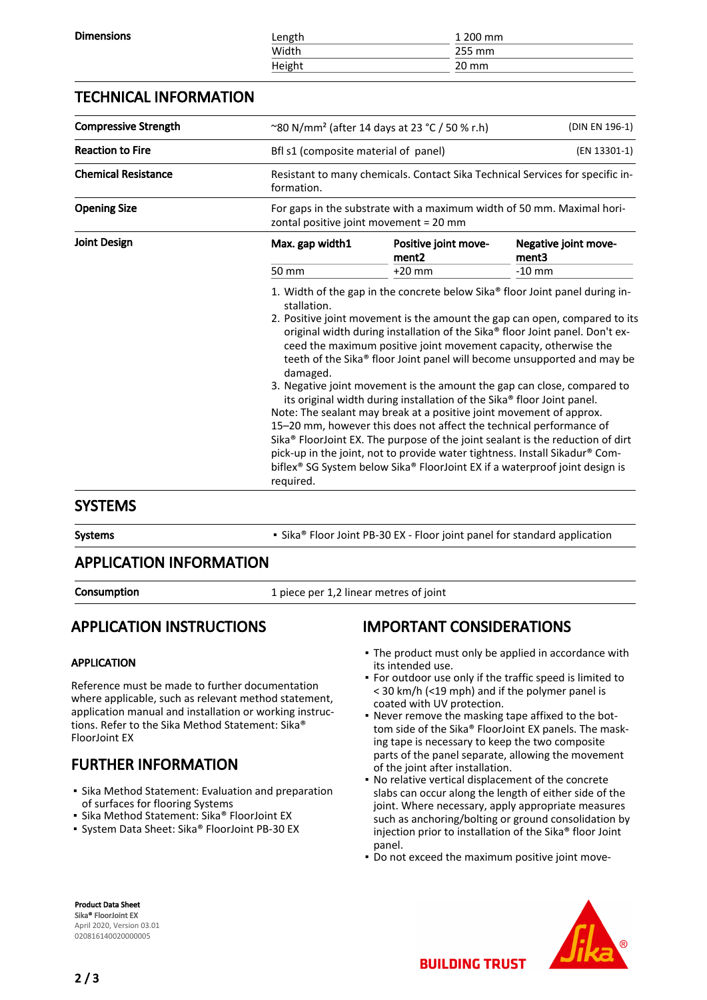| <b>Dimensions</b> | ∟ength | 1 200 mm        |  |
|-------------------|--------|-----------------|--|
|                   | Width  | 255 mm          |  |
|                   | Height | $20 \text{ mm}$ |  |
|                   |        |                 |  |

## TECHNICAL INFORMATION

| <b>Compressive Strength</b> | ~80 N/mm <sup>2</sup> (after 14 days at 23 °C / 50 % r.h)<br>(DIN EN 196-1)                                                                                                                                                                                                                                                                                                                                                                                                                                                                                                                                                                                                                                                                                                                                                                                                                                      |                                                      |                               |  |
|-----------------------------|------------------------------------------------------------------------------------------------------------------------------------------------------------------------------------------------------------------------------------------------------------------------------------------------------------------------------------------------------------------------------------------------------------------------------------------------------------------------------------------------------------------------------------------------------------------------------------------------------------------------------------------------------------------------------------------------------------------------------------------------------------------------------------------------------------------------------------------------------------------------------------------------------------------|------------------------------------------------------|-------------------------------|--|
| <b>Reaction to Fire</b>     |                                                                                                                                                                                                                                                                                                                                                                                                                                                                                                                                                                                                                                                                                                                                                                                                                                                                                                                  | (EN 13301-1)<br>Bfl s1 (composite material of panel) |                               |  |
| <b>Chemical Resistance</b>  | Resistant to many chemicals. Contact Sika Technical Services for specific in-<br>formation.                                                                                                                                                                                                                                                                                                                                                                                                                                                                                                                                                                                                                                                                                                                                                                                                                      |                                                      |                               |  |
| <b>Opening Size</b>         | For gaps in the substrate with a maximum width of 50 mm. Maximal hori-<br>zontal positive joint movement = 20 mm                                                                                                                                                                                                                                                                                                                                                                                                                                                                                                                                                                                                                                                                                                                                                                                                 |                                                      |                               |  |
| <b>Joint Design</b>         | Max. gap width1                                                                                                                                                                                                                                                                                                                                                                                                                                                                                                                                                                                                                                                                                                                                                                                                                                                                                                  | Positive joint move-<br>ment <sub>2</sub>            | Negative joint move-<br>ment3 |  |
|                             | 50 mm                                                                                                                                                                                                                                                                                                                                                                                                                                                                                                                                                                                                                                                                                                                                                                                                                                                                                                            | $+20$ mm                                             | $-10$ mm                      |  |
|                             | stallation.<br>2. Positive joint movement is the amount the gap can open, compared to its<br>original width during installation of the Sika® floor Joint panel. Don't ex-<br>ceed the maximum positive joint movement capacity, otherwise the<br>teeth of the Sika® floor Joint panel will become unsupported and may be<br>damaged.<br>3. Negative joint movement is the amount the gap can close, compared to<br>its original width during installation of the Sika® floor Joint panel.<br>Note: The sealant may break at a positive joint movement of approx.<br>15-20 mm, however this does not affect the technical performance of<br>Sika <sup>®</sup> FloorJoint EX. The purpose of the joint sealant is the reduction of dirt<br>pick-up in the joint, not to provide water tightness. Install Sikadur® Com-<br>biflex® SG System below Sika® FloorJoint EX if a waterproof joint design is<br>required. |                                                      |                               |  |

## SYSTEMS

Systems **Example Sika**® Floor Joint PB-30 EX - Floor joint panel for standard application

## APPLICATION INFORMATION

**Consumption** 1 piece per 1,2 linear metres of joint

# APPLICATION INSTRUCTIONS

#### APPLICATION

Reference must be made to further documentation where applicable, such as relevant method statement, application manual and installation or working instructions. Refer to the Sika Method Statement: Sika® FloorJoint EX

# FURTHER INFORMATION

- **·** Sika Method Statement: Evaluation and preparation of surfaces for flooring Systems
- Sika Method Statement: Sika® FloorJoint EX
- System Data Sheet: Sika® FloorJoint PB-30 EX

# IMPORTANT CONSIDERATIONS

- The product must only be applied in accordance with its intended use.
- For outdoor use only if the traffic speed is limited to < 30 km/h (<19 mph) and if the polymer panel is coated with UV protection.
- Never remove the masking tape affixed to the bot-▪ tom side of the Sika® FloorJoint EX panels. The masking tape is necessary to keep the two composite parts of the panel separate, allowing the movement of the joint after installation.
- No relative vertical displacement of the concrete slabs can occur along the length of either side of the joint. Where necessary, apply appropriate measures such as anchoring/bolting or ground consolidation by injection prior to installation of the Sika® floor Joint panel.
- Do not exceed the maximum positive joint move-

**BUILDING TRUST** 

Product Data Sheet Sika® FloorJoint EX April 2020, Version 03.01 020816140020000005